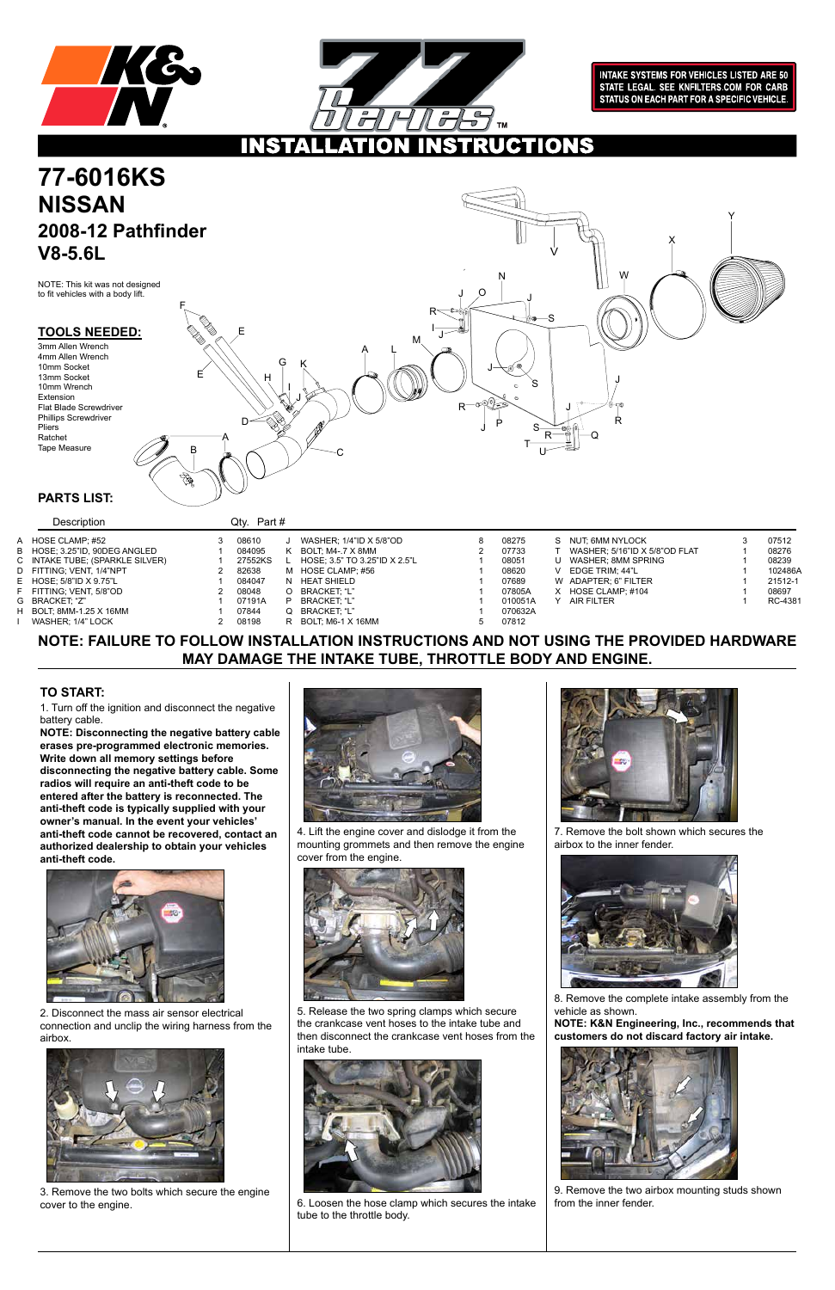



**INTAKE SYSTEMS FOR VEHICLES LISTED ARE 50** STATE LEGAL. SEE KNFILTERS.COM FOR CARB STATUS ON EACH PART FOR A SPECIFIC VEHICLE.

### **UCTIONS** INS

### **TOOLS NEEDED:**

### **NOTE: FAILURE TO FOLLOW INSTALLATION INSTRUCTIONS AND NOT USING THE PROVIDED HARDWARE MAY DAMAGE THE INTAKE TUBE, THROTTLE BODY AND ENGINE.**

1. Turn off the ignition and disconnect the negative battery cable.

**NOTE: Disconnecting the negative battery cable erases pre-programmed electronic memories. Write down all memory settings before disconnecting the negative battery cable. Some radios will require an anti-theft code to be entered after the battery is reconnected. The anti-theft code is typically supplied with your owner's manual. In the event your vehicles' anti-theft code cannot be recovered, contact an authorized dealership to obtain your vehicles anti-theft code.**



### **TO START:**

### **PARTS LIST:**

Description Qty. Part #

NOTE: This kit was not designed to fit vehicles with a body lift.

2. Disconnect the mass air sensor electrical connection and unclip the wiring harness from the airbox.

# **77-6016KS NISSAN 2008-12 Pathfinder V8-5.6L**



3. Remove the two bolts which secure the engine cover to the engine.



4. Lift the engine cover and dislodge it from the mounting grommets and then remove the engine cover from the engine.



5. Release the two spring clamps which secure the crankcase vent hoses to the intake tube and then disconnect the crankcase vent hoses from the intake tube.



6. Loosen the hose clamp which secures the intake tube to the throttle body.



7. Remove the bolt shown which secures the airbox to the inner fender.



8. Remove the complete intake assembly from the vehicle as shown.

**NOTE: K&N Engineering, Inc., recommends that customers do not discard factory air intake.** 



9. Remove the two airbox mounting studs shown from the inner fender.

3mm Allen Wrench 4mm Allen Wrench 10mm Socket 13mm Socket 10mm Wrench Extension Flat Blade Screwdriver Phillips Screwdriver Pliers Ratchet Tape Measure



| A HOSE CLAMP: #52               | 08610   |   | WASHER: 1/4"ID X 5/8"OD       | 08275   | S. | NUT, 6MM NYLOCK               | 07512   |
|---------------------------------|---------|---|-------------------------------|---------|----|-------------------------------|---------|
| B HOSE: 3.25"ID, 90DEG ANGLED   | 084095  | ĸ | BOLT: M4-.7 X 8MM             | 07733   |    | WASHER; 5/16"ID X 5/8"OD FLAT | 08276   |
| C INTAKE TUBE; (SPARKLE SILVER) | 27552KS |   | HOSE: 3.5" TO 3.25"ID X 2.5"L | 08051   | U  | WASHER: 8MM SPRING            | 08239   |
| D FITTING: VENT. 1/4"NPT        | 82638   |   | M HOSE CLAMP; #56             | 08620   |    | EDGE TRIM: 44"L               | 102486A |
| E HOSE: 5/8"ID X 9.75"L         | 084047  |   | N HEAT SHIELD                 | 07689   |    | W ADAPTER: 6" FILTER          | 21512-1 |
| F FITTING: VENT. 5/8"OD         | 08048   |   | BRACKET: "L"                  | 07805A  | X. | HOSE CLAMP: #104              | 08697   |
| G BRACKET. "Z"                  | 07191A  |   | BRACKET: "L"                  | 010051A |    | AIR FILTER                    | RC-4381 |
| H BOLT: 8MM-1.25 X 16MM         | 07844   |   | Q BRACKET. "L"                | 070632A |    |                               |         |
| WASHER: 1/4" LOCK               | 08198   |   | R BOLT: M6-1 X 16MM           | 07812   |    |                               |         |
|                                 |         |   |                               |         |    |                               |         |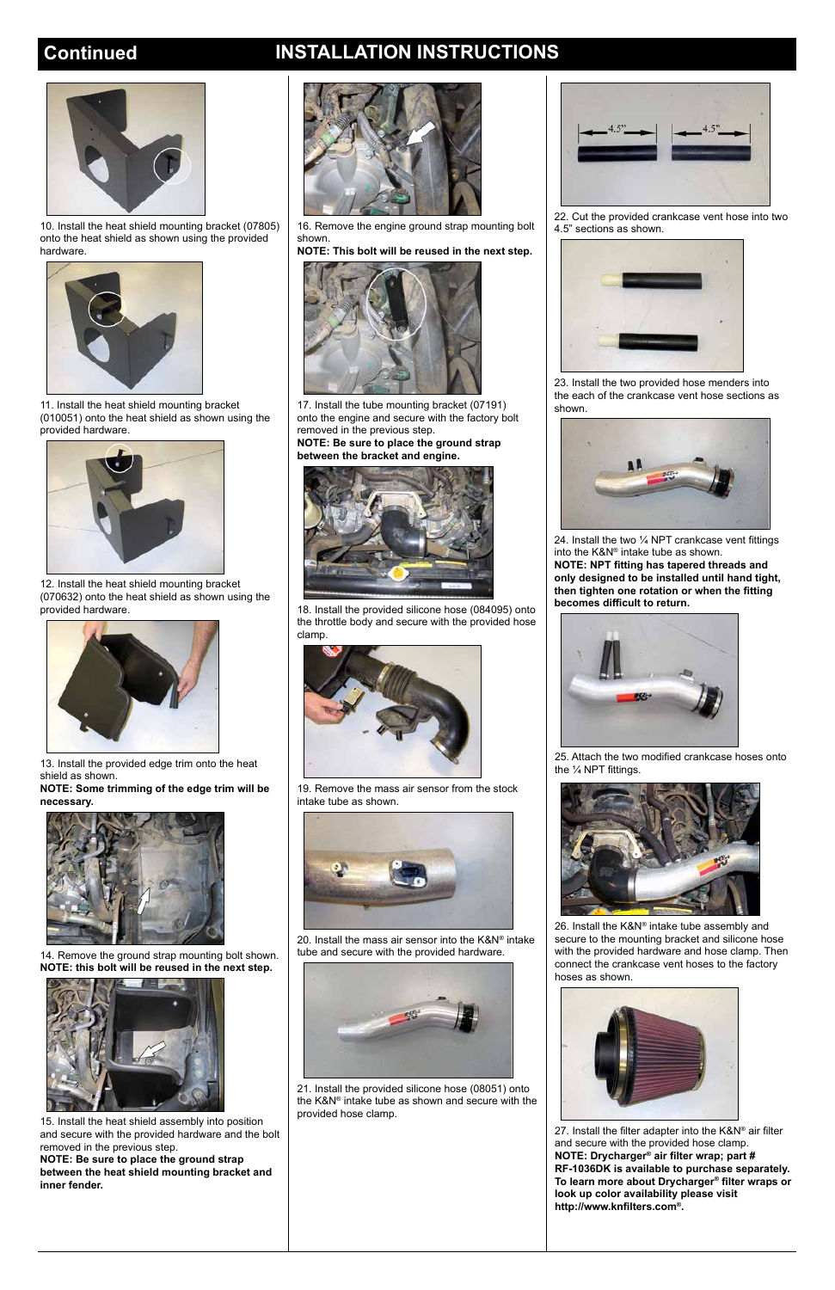## **Continued INSTALLATION INSTRUCTIONS**



11. Install the heat shield mounting bracket (010051) onto the heat shield as shown using the provided hardware.



12. Install the heat shield mounting bracket (070632) onto the heat shield as shown using the provided hardware.



13. Install the provided edge trim onto the heat shield as shown.

**NOTE: Some trimming of the edge trim will be necessary.**





14. Remove the ground strap mounting bolt shown. **NOTE: this bolt will be reused in the next step.**



15. Install the heat shield assembly into position and secure with the provided hardware and the bolt removed in the previous step. **NOTE: Be sure to place the ground strap between the heat shield mounting bracket and inner fender.**

16. Remove the engine ground strap mounting bolt shown.

**NOTE: This bolt will be reused in the next step.**



17. Install the tube mounting bracket (07191) onto the engine and secure with the factory bolt removed in the previous step.

> 25. Attach the two modified crankcase hoses onto the 1/4 NPT fittings.

**NOTE: Be sure to place the ground strap between the bracket and engine.**



18. Install the provided silicone hose (084095) onto the throttle body and secure with the provided hose clamp.



19. Remove the mass air sensor from the stock intake tube as shown.



20. Install the mass air sensor into the K&N® intake



tube and secure with the provided hardware.



21. Install the provided silicone hose (08051) onto the K&N® intake tube as shown and secure with the provided hose clamp.

22. Cut the provided crankcase vent hose into two 4.5" sections as shown.



23. Install the two provided hose menders into the each of the crankcase vent hose sections as shown.



24. Install the two ¼ NPT crankcase vent fittings into the K&N® intake tube as shown. **NOTE: NPT fitting has tapered threads and only designed to be installed until hand tight, then tighten one rotation or when the fitting becomes difficult to return.** 





26. Install the K&N® intake tube assembly and secure to the mounting bracket and silicone hose

with the provided hardware and hose clamp. Then connect the crankcase vent hoses to the factory hoses as shown.



27. Install the filter adapter into the K&N® air filter and secure with the provided hose clamp. **NOTE: Drycharger® air filter wrap; part # RF-1036DK is available to purchase separately. To learn more about Drycharger® filter wraps or look up color availability please visit http://www.knfilters.com®.**



10. Install the heat shield mounting bracket (07805) onto the heat shield as shown using the provided hardware.